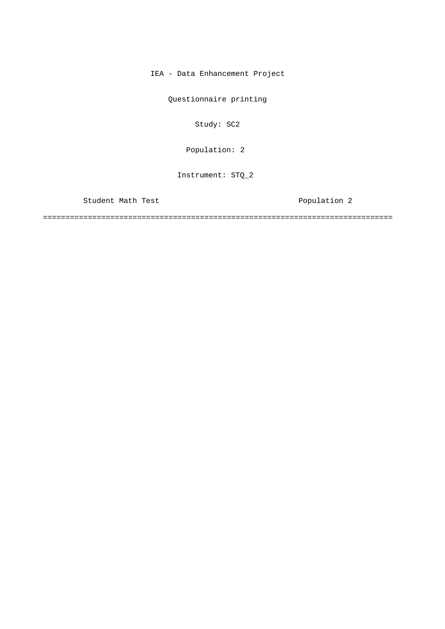IEA - Data Enhancement Project

Questionnaire printing

Study: SC2

[Population: 2](#page-1-0) 

Instrument: STQ\_2

Student Math Test **Population 2** 

==============================================================================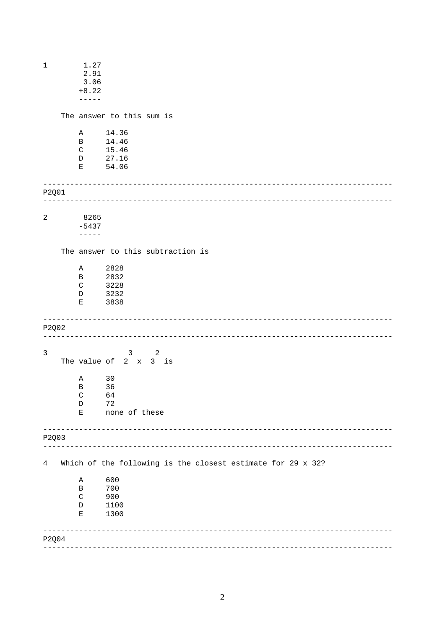<span id="page-1-0"></span>

| $\mathbf 1$ |  | 1.27                   |                                                             |  |
|-------------|--|------------------------|-------------------------------------------------------------|--|
|             |  | 2.91<br>3.06           |                                                             |  |
| $+8.22$     |  |                        |                                                             |  |
|             |  | $- - - - - -$          |                                                             |  |
|             |  |                        | The answer to this sum is                                   |  |
|             |  | Α                      | 14.36                                                       |  |
|             |  | B                      | 14.46                                                       |  |
|             |  | $\mathsf C$            | 15.46                                                       |  |
|             |  | D                      | 27.16                                                       |  |
|             |  | Е                      | 54.06                                                       |  |
| P2Q01       |  |                        |                                                             |  |
|             |  |                        |                                                             |  |
| $\sqrt{2}$  |  | 8265                   |                                                             |  |
|             |  | $-5437$<br>$- - - - -$ |                                                             |  |
|             |  |                        | The answer to this subtraction is                           |  |
|             |  |                        |                                                             |  |
|             |  | Α                      | 2828                                                        |  |
|             |  | B<br>$\mathsf C$       | 2832                                                        |  |
|             |  | D                      | 3228<br>3232                                                |  |
|             |  | Е                      | 3838                                                        |  |
|             |  |                        |                                                             |  |
| P2Q02       |  |                        |                                                             |  |
| 3           |  |                        | $\overline{\phantom{a}}$ 2                                  |  |
|             |  |                        | $\mathbf{3}$<br>The value of $2 \times 3$ is                |  |
|             |  | Α                      | 30                                                          |  |
|             |  | $\, {\bf B}$           | 36                                                          |  |
|             |  | $\mathsf{C}$           | 64                                                          |  |
|             |  | $\mathbb D$            | 72                                                          |  |
|             |  | Е                      | none of these                                               |  |
| P2Q03       |  |                        |                                                             |  |
|             |  |                        |                                                             |  |
| 4           |  |                        | Which of the following is the closest estimate for 29 x 32? |  |
|             |  | Α                      | 600                                                         |  |
|             |  | В                      | 700                                                         |  |
|             |  | $\rm C$                | 900                                                         |  |
|             |  | D                      | 1100                                                        |  |
|             |  | Ε                      | 1300                                                        |  |
| P2Q04       |  |                        |                                                             |  |
|             |  |                        |                                                             |  |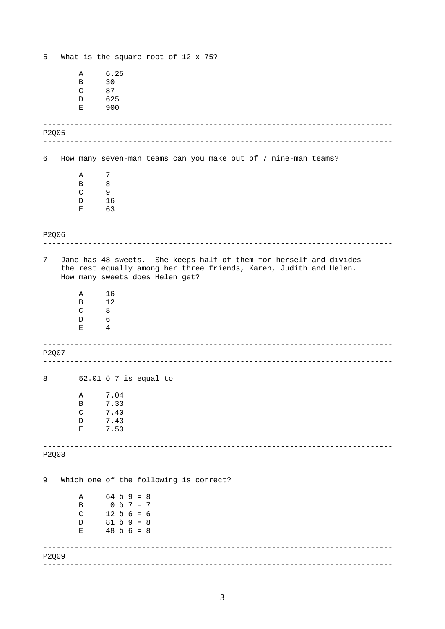<span id="page-2-0"></span>

| 5     |              | What is the square root of $12 \times 75$ ?                                                                                                                                 |
|-------|--------------|-----------------------------------------------------------------------------------------------------------------------------------------------------------------------------|
|       | Α            | 6.25                                                                                                                                                                        |
|       | B            | 30                                                                                                                                                                          |
|       | $\mathsf{C}$ | 87                                                                                                                                                                          |
|       | D            | 625                                                                                                                                                                         |
|       | Е            | 900                                                                                                                                                                         |
| P2Q05 |              |                                                                                                                                                                             |
| 6     |              | How many seven-man teams can you make out of 7 nine-man teams?                                                                                                              |
|       | Α            | 7                                                                                                                                                                           |
|       | B            | 8                                                                                                                                                                           |
|       | $\mathsf{C}$ | 9                                                                                                                                                                           |
|       | D            | 16                                                                                                                                                                          |
|       | Е            | 63                                                                                                                                                                          |
| P2Q06 |              |                                                                                                                                                                             |
|       |              |                                                                                                                                                                             |
| 7     |              | Jane has 48 sweets. She keeps half of them for herself and divides<br>the rest equally among her three friends, Karen, Judith and Helen.<br>How many sweets does Helen get? |
|       | Α            | 16                                                                                                                                                                          |
|       | B            | 12                                                                                                                                                                          |
|       | C            | 8                                                                                                                                                                           |
|       | D            | 6                                                                                                                                                                           |
|       | Е            | 4                                                                                                                                                                           |
|       |              | __________________________________                                                                                                                                          |
| P2Q07 |              |                                                                                                                                                                             |
| 8     |              | 52.01 ö 7 is equal to                                                                                                                                                       |
|       | Α            | 7.04                                                                                                                                                                        |
|       | B            | 7.33                                                                                                                                                                        |
|       | $\mathsf{C}$ | 7.40                                                                                                                                                                        |
|       | D            | 7.43                                                                                                                                                                        |
|       | Е            | 7.50                                                                                                                                                                        |
| P2Q08 |              |                                                                                                                                                                             |
|       |              |                                                                                                                                                                             |
| 9     |              | Which one of the following is correct?                                                                                                                                      |
|       | Α            | $64$ $\ddot{o}$ $9 = 8$                                                                                                                                                     |
|       | B            | $0 \times 7 = 7$                                                                                                                                                            |
|       | C            | $12 \ 5 \ 6 = 6$                                                                                                                                                            |
|       | D<br>Ε       | $81 5 9 = 8$<br>$48 \t{o} 6 = 8$                                                                                                                                            |
|       |              |                                                                                                                                                                             |
| P2Q09 |              |                                                                                                                                                                             |
|       |              |                                                                                                                                                                             |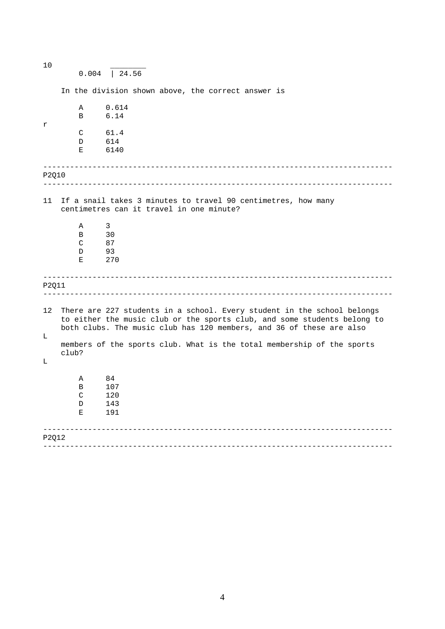------------------------------------------------------------------------------ ------------------------------------------------------------------------------ ------------------------------------------------------------------------------ ------------------------------------------------------------------------------ ------------------------------------------------------------------------------ ------------------------------------------------------------------------------ 10 \_\_\_\_\_\_\_\_ 0.004 | 24.56 r In the division shown above, the correct answer is A 0.614 B 6.14 C 61.4 D 614 E 6140 P2Q10 11 If a snail takes 3 minutes to travel 90 centimetres, how many centimetres can it travel in one minute? [A 3](#page-2-0)  B 30 C 87 D 93 E 270 P2Q11 12 There are 227 students in a school. Every student in the school belongs to either the music club or the sports club, and some students belong to both clubs. The music club has 120 members, and 36 of these are also  $\mathsf{T}_{\perp}$ members of the sports club. What is the total membership of the sports club?  $\mathbb L$ A 84 B 107 C 120 D 143<br>F 191 E 191 P2Q12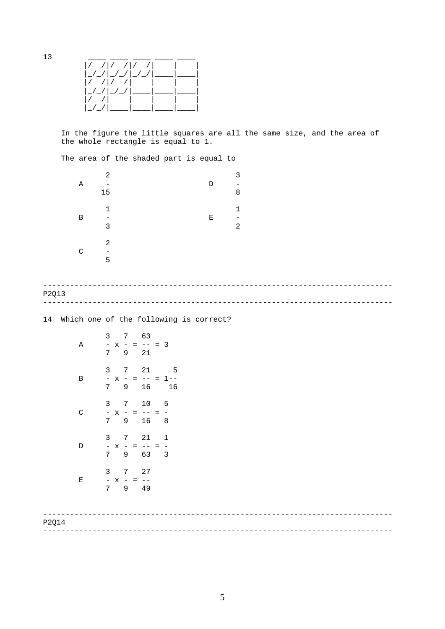



In the figure the little squares are all the same size, and the area of the whole rectangle is equal to 1.

The area of the shaded part is equal to

| Α            | 2<br>15           |  | D | 3<br>8 |
|--------------|-------------------|--|---|--------|
| B            | $\mathbf{1}$<br>3 |  | Ε | 1<br>2 |
| $\mathsf{C}$ | 2<br>5            |  |   |        |

## ------------------------------------------------------------------------------ ------------------------------------------------------------------------------ P2Q13

14 Which one of the following is correct?

| Α | 3<br>$\overline{\phantom{0}}$<br>$\mathbf x$<br>7               | 7<br>$\qquad \qquad -$<br>$=$<br>9        | 63<br>$- -$<br>21       | $= 3$                    |
|---|-----------------------------------------------------------------|-------------------------------------------|-------------------------|--------------------------|
| Β | 3<br>$\overline{a}$<br>$\mathbf x$<br>$\overline{7}$            | 7<br>$\frac{1}{2}$<br>$=$<br>9            | 21<br>$ -$<br>$=$<br>16 | 5<br>$1 - -$<br>16       |
| C | 3<br>$\overline{\phantom{0}}$<br>$\mathbf{x}$<br>$\overline{7}$ | 7<br>$\frac{1}{2}$<br>$=$<br>9            | $10$<br>$ -$<br>16      | 5<br>8                   |
| D | 3<br>$\overline{\phantom{a}}$<br>$\mathbf{x}$<br>7              | 7<br>$\overline{\phantom{a}}$<br>$=$<br>9 | 21<br>$ -$<br>63        | 1<br>$\overline{a}$<br>3 |
| Ε | 3<br>$\frac{1}{7}$<br>X                                         | 7<br>$\overline{\phantom{0}}$<br>$=$<br>9 | 27<br>49                |                          |

| P2Q14 |  |
|-------|--|
|       |  |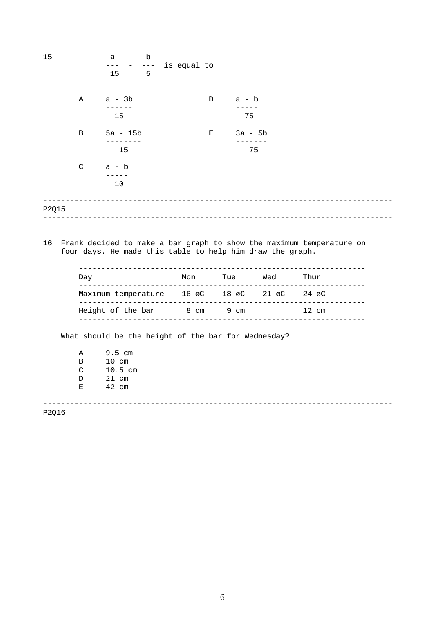| 15    |              | а<br>$---$                  | b<br>$- - -$ | is equal to                                               |                                                     |                                                                      |  |
|-------|--------------|-----------------------------|--------------|-----------------------------------------------------------|-----------------------------------------------------|----------------------------------------------------------------------|--|
|       |              | 15                          | 5            |                                                           |                                                     |                                                                      |  |
|       | A            | a - 3b<br>------            |              | D                                                         | $a - b$<br>$- - - - - -$                            |                                                                      |  |
|       |              | 15                          |              |                                                           | 75                                                  |                                                                      |  |
|       | B            | $5a - 15b$<br>---------     |              |                                                           | 3a - 5b<br>$\mathbf{E}$ and $\mathbf{E}$<br>------- |                                                                      |  |
|       |              | 15                          |              |                                                           | 75                                                  |                                                                      |  |
|       | $\mathsf{C}$ | a - b                       |              |                                                           |                                                     |                                                                      |  |
|       |              | $- - - - -$<br>10           |              |                                                           |                                                     |                                                                      |  |
|       |              |                             |              |                                                           |                                                     |                                                                      |  |
| P2015 |              |                             |              |                                                           |                                                     |                                                                      |  |
|       |              |                             |              |                                                           |                                                     |                                                                      |  |
| 16    |              |                             |              | four days. He made this table to help him draw the graph. |                                                     | Frank decided to make a bar graph to show the maximum temperature on |  |
|       |              |                             |              |                                                           |                                                     |                                                                      |  |
|       | Dav          |                             |              |                                                           |                                                     |                                                                      |  |
|       |              |                             |              | Maximum temperature 16 øC 18 øC 21 øC 24 øC               |                                                     |                                                                      |  |
|       |              |                             |              | Height of the bar 8 cm 9 cm                               |                                                     | $12 \text{ cm}$                                                      |  |
|       |              |                             |              | What should be the height of the bar for Wednesday?       |                                                     |                                                                      |  |
|       |              |                             |              |                                                           |                                                     |                                                                      |  |
|       | A            | $9.5$ cm<br>$\overline{10}$ |              |                                                           |                                                     |                                                                      |  |

| В  | $10 \text{ cm}$ |
|----|-----------------|
| C  | $10.5$ cm       |
| D  | 21 cm           |
| F. | 42 cm           |

------------------------------------------------------------------------------ ------------------------------------------------------------------------------ P2Q16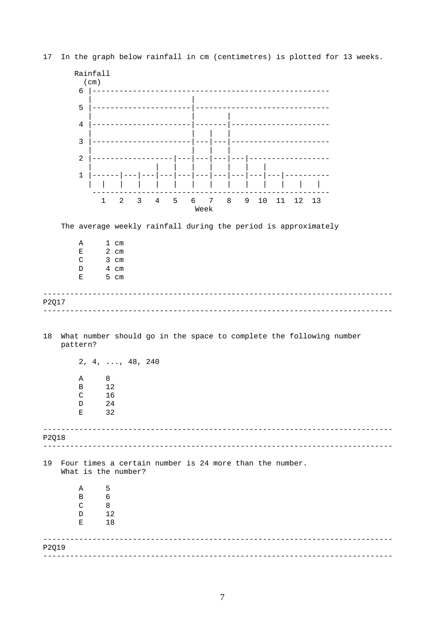

17 In the graph below rainfall in cm (centimetres) is plotted for 13 weeks.